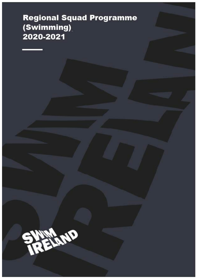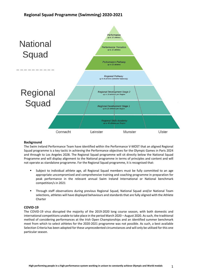

### **Background**

The Swim Ireland Performance Team have identified within the Performance V-MOST that an aligned Regional Squad programme is a key tactic in achieving the Performance objectives for the Olympic Games in Paris 2024 and through to Los Angeles 2028. The Regional Squad programme will sit directly below the National Squad Programme and will display alignment to the National programme in terms of principles and content and will not operate as standalone programme. For the Regional Squad programme, it is recognised that:

- § Subject to individual athlete age, all Regional Squad members must be fully committed to an age appropriate uncompromised and comprehensive training and coaching programme in preparation for peak performance in the relevant annual Swim Ireland International or National benchmark competition/s in 2021
- § Through staff observations during previous Regional Squad, National Squad and/or National Team selections, athletes will have displayed behaviours and standards that are fully aligned with the Athlete Charter

### **COVID-19**

The COVID-19 virus disrupted the majority of the 2019-2020 long course season, with both domestic and international competitions unable to take place in the period March 2020 – August 2020. As such, the traditional method of considering performances at the Irish Open Championships and an identified summer benchmark meet from which to select athletes for the 2020-2021 programme was not possible. As such, a best available Selection Criteria has been adopted for these unprecedented circumstances and will only be utilised for this one particular season.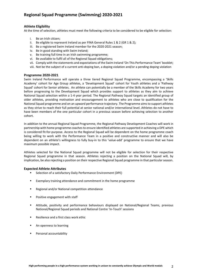### **Athlete Eligibility**

At the time of selection, athletes must meet the following criteria to be considered to be eligible for selection:

- i. Be an Irish citizen;
- ii. Be eligible to represent Ireland as per FINA General Rules  $1 \& 2$  (GR  $1 \& 2$ );
- iii. Be a registered Swim Ireland member for the 2020-2021 season;
- iv. Be in good standing with Swim Ireland;
- v. Be training full time in an Irish swimming programme;
- vi. Be available to fulfil all of the Regional Squad obligations;
- vii. Comply with the statements and expectations of the Swim Ireland 'On This Performance Team' booklet;
- viii. Not be the subject of a current anti-doping ban, a doping violation and/or a pending doping violation

#### **Programme 2020-2021**

Swim Ireland Performance will operate a three tiered Regional Squad Programme, encompassing a 'Skills Academy' cohort for Age Group athletes, a 'Development Squad' cohort for Youth athletes and a 'Pathway Squad' cohort for Senior athletes. An athlete can potentially be a member of the Skills Academy for two years before progressing to the Development Squad which provides support to athletes as they aim to achieve National Squad selection within a 1-4 year period. The Regional Pathway Squad targets an identified group of older athletes, providing motivation and encouragement to athletes who are close to qualification for the National Squad programme and on an upward performance trajectory. The Programme aims to support athletes as they strive to reach their full potential at senior national and/or international level. Athletes do not have to have been members of the one particular cohort in a previous season before achieving selection to another cohort.

In addition to the annual Regional Squad Programme, the Regional Pathway Development Coaches will work in partnership with home programme coachesto ensure identified athletes are supported in achieving a DPE which is considered fit-for-purpose. Access to the Regional Squad will be dependent on the home programme coach being willing to work with the Performance Team in a positive and constructive manner and will also be dependent on an athlete's willingness to fully buy-in to this 'value-add' programme to ensure that we have maximum possible impact.

Athletes selected for the National Squad programme will not be eligible for selection for their respective Regional Squad programme in that season. Athletes rejecting a position on the National Squad will, by implication, be also rejecting a position on their respective Regional Squad programme in that particular season.

#### **Expected Athlete Attributes**

- Selection of a satisfactory Daily Performance Environment (DPE)
- Exemplary training attendance and commitment in the home programme
- § Regional and/or National competition attendance
- Positive engagement with staff
- § Attitude, positivity and performance behaviours displayed on National/Regional Teams, previous National/Regional Squad periods and National Centre 'In-Touch' sessions
- Resilience and a first class work ethic
- An openness to learning
- Personal accountability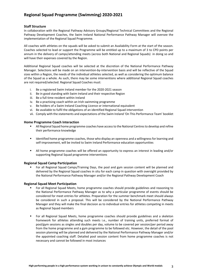### **Staff Structure**

In collaboration with the Regional Pathway Advisory Groups/Regional Technical Committees and the Regional Pathway Development Coaches, the Swim Ireland National Performance Pathway Manager will oversee the implementation of the Regional Squad Programme.

All coaches with athletes on the squads will be asked to submit an Availability Form at the start of the season. Coaches selected to lead or support the Programme will be entitled up to a maximum of 3 to CPD points per annum in the delivery of camps/attending meets (across both National and Regional Squads) in doing so and will have their expenses covered by the Region.

Additional Regional Squad coaches will be selected at the discretion of the National Performance Pathway Manager. Selections will be made on an intervention-by-intervention basis and will be reflective of the Squad sizes within a Region, the needs of the individual athletes selected, as well as considering the optimum balance of the Squad as a whole. As such, there may be some interventions where additional Regional Squad coaches are not required/selected. Regional Squad Coaches must:

- i. Be a registered Swim Ireland member for the 2020-2021 season
- ii. Be in good standing with Swim Ireland and their respective Region
- iii. Be a full time resident within Ireland
- iv. Be a practising coach within an Irish swimming programme
- v. Be holders of a Swim Ireland Coaching Licence or international equivalent
- vi. Be available to fulfil the obligations of an identified Regional Squad intervention
- vii. Comply with the statements and expectations of the Swim Ireland 'On This Performance Team' booklet

### **Home Programme Coach Interaction**

- § All Regional Squad home programme coaches have access to the National Centres to develop and refine their performance knowledge
- Identified home programme coaches, those who display an openness and a willingness for learning and self-improvement, will be invited to Swim Ireland Performance education opportunities
- § All home programme coaches will be offered an opportunity to express an interest in leading and/or supporting Regional Squad programme interventions

### **Regional Squad Camp Participation**

For all Regional Squad Camps/Training Days, the pool and gym session content will be planned and delivered by the Regional Squad coaches in situ for each camp in question with oversight provided by the National Performance Pathway Manager and/or the Regional Pathway Development Coach

### **Regional Squad Meet Participation**

- § For all Regional Squad Meets, home programme coaches should provide guidelines and reasoning to the National Performance Pathway Manager as to why a particular programme of events should be considered for meet entries for athletes. Preparation for the summer benchmark meet should always be considered in such a proposal. This will be considered by the National Performance Pathway Manager and they will make the final decision as to individual entries for athletes competing in meets as Regional Squad members
- For all Regional Squad Meets, home programme coaches should provide guidelines and a skeleton framework for athletes attending such meets i.e., number of training units, preferred format of pool/gym sessions as singles and doubles per day, volume to be covered per session/per period away from the home programme and a gym programme to be followed etc. However, the detail of the pool session planning will be planned and delivered by the National Performance Pathway Manager and/or the appointed coaching staff. Detailed pool session content from home programme coaches is not necessary and cannot be followed in most instances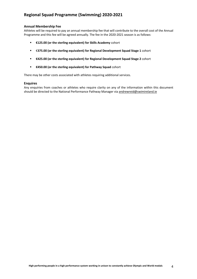### **Annual Membership Fee**

Athletes will be required to pay an annual membership fee that will contribute to the overall cost of the Annual Programme and this fee will be agreed annually. The fee in the 2020-2021 season is as follows:

- § **€125.00 (or the sterling equivalent) for Skills Academy** cohort
- § €**375.00 (or the sterling equivalent) for Regional Development Squad Stage 1** cohort
- § **€425.00 (or the sterling equivalent) for Regional Development Squad Stage 2** cohort
- § **€450.00 (or the sterling equivalent) for Pathway Squad** cohort

There may be other costs associated with athletes requiring additional services.

### **Enquires**

Any enquiries from coaches or athletes who require clarity on any of the information within this document should be directed to the National Performance Pathway Manager via andrewreid@swimireland.ie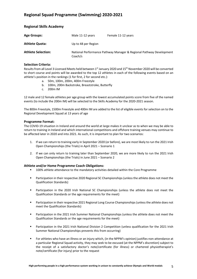| <b>Age Groups:</b>        | Male 11-12 years    | Female 11-12 years                                                  |
|---------------------------|---------------------|---------------------------------------------------------------------|
| <b>Athlete Quota:</b>     | Up to 48 per Region |                                                                     |
| <b>Athlete Selection:</b> | Coach/s             | National Performance Pathway Manager & Regional Pathway Development |

### **Selection Criteria:**

**Regional Skills Academy**

Results from all Level 3 Licensed Meets held between 1<sup>st</sup> January 2020 and 15<sup>th</sup> November 2020 will be converted to short course and points will be awarded to the top 12 athletes in each of the following events based on an athlete's position in the rankings (1 for first, 2 for second etc.):

- a. 50m, 100m, 200m, 400m Freestyle
- b. 100m, 200m Backstroke, Breaststroke, Butterfly
- c. 200m IM

12 male and 12 female athletes per age group with the lowest accumulated points score from five of the named events (to include the 200m IM) will be selected to the Skills Academy for the 2020-2021 season.

The 800m Freestyle, 1500m Freestyle and 400m IM are added to the list of eligible events for selection on to the Regional Development Squad at 13 years of age

### **Programme Format:**

The COVID-19 situation in Ireland and around the world at large makes it unclear as to when we may be able to return to training in Ireland and which international competitions and offshore training venues may continue to be affected later in 2020 and into 2021. As such, it is important to plan for two scenarios:

- 1. If we can return to training early in September 2020 (or before), we are most likely to run the 2021 Irish Open Championships (the Trials) in April 2021 – Scenario 1
- 2. If we can only return to training later than September 2020, we are more likely to run the 2021 Irish Open Championships (the Trials) in June 2021 – Scenario 2

- § 100% athlete attendance to the mandatory activities detailed within the Core Programme
- Participation in their respective 2020 Regional SC Championships (unless the athlete does not meet the Qualification Standards)
- Participation in the 2020 Irish National SC Championships (unless the athlete does not meet the Qualification Standards or the age requirements for the meet)
- **•** Participation in their respective 2021 Regional Long Course Championships (unless the athlete does not meet the Qualification Standards)
- **■** Participation in the 2021 Irish Summer National Championships (unless the athlete does not meet the Qualification Standards or the age requirements for the meet)
- Participation in the 2021 Irish National Division 2 Competition (unless qualification for the 2021 Irish Summer National Championships prevents this from occurring)
- § For athletes who have an illness or an injury which, (in the NPPM's opinion) justifies non-attendance at a particular Regional Squad activity, they may seek to be excused (at the NPPM's discretion) subject to the receipt of a satisfactory doctor's note/certificate (for illness) or chartered physiotherapist's note/certificate (for injury) prior to the request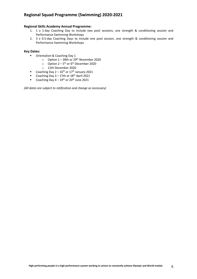### **Regional Skills Academy Annual Programme:**

- 1. 1 x 1-day Coaching Day to include two pool sessions, one strength & conditioning session and Performance Swimming Workshops
- 2. 3 x 0.5-day Coaching Days to include one pool session, one strength & conditioning session and Performance Swimming Workshops

### **Key Dates:**

- Orientation & Coaching Day 1
	- $\circ$  Option 1 28th or 29<sup>th</sup> November 2020
	- $\circ$  Option 2 5<sup>th</sup> or 6<sup>th</sup> December 2020
	- o 12th December 2020
- Coaching Day  $2 16^{th}$  or  $17^{th}$  January 2021
- Coaching Day  $3 17$ th or  $18<sup>th</sup>$  April 2021
- Coaching Day  $4 19^{th}$  or  $20^{th}$  June 2021

*(All dates are subject to ratification and change as necessary)*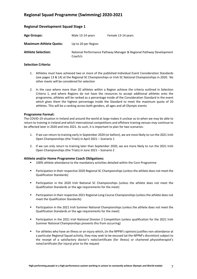| <b>Regional Development Squad Stage 1</b> |  |  |  |  |  |
|-------------------------------------------|--|--|--|--|--|
|-------------------------------------------|--|--|--|--|--|

| <b>Age Groups:</b>            | Male 13-14 years    | Female 13-14 years                                                  |
|-------------------------------|---------------------|---------------------------------------------------------------------|
| <b>Maximum Athlete Quota:</b> | Up to 20 per Region |                                                                     |
| <b>Athlete Selection:</b>     | Coach/s             | National Performance Pathway Manager & Regional Pathway Development |

### **Selection Criteria:**

- 1. Athletes must have achieved two or more of the published Individual Event Consideration Standards (see pages 13 & 14) at the Regional SC Championships or Irish SC National Championships in 2020. No other meets will be considered for selection
- 2. In the case where more than 20 athletes within a Region achieve the criteria outlined in Selection Criteria 1, and where Regions do not have the resources to accept additional athletes onto the programme, athletes will be ranked as a percentage inside of the Consideration Standard in the event which gives them the highest percentage inside the Standard to meet the maximum quota of 20 athletes. This will be a ranking across both genders, all ages and all Olympic events

### **Programme Format:**

The COVID-19 situation in Ireland and around the world at large makes it unclear as to when we may be able to return to training in Ireland and which international competitions and offshore training venues may continue to be affected later in 2020 and into 2021. As such, it is important to plan for two scenarios:

- 1. If we can return to training early in September 2020 (or before), we are most likely to run the 2021 Irish Open Championships (the Trials) in April 2021 – Scenario 1
- 2. If we can only return to training later than September 2020, we are more likely to run the 2021 Irish Open Championships (the Trials) in June 2021 – Scenario 2

- § 100% athlete attendance to the mandatory activities detailed within the Core Programme
- **•** Participation in their respective 2020 Regional SC Championships (unless the athlete does not meet the Qualification Standards)
- **■** Participation in the 2020 Irish National SC Championships (unless the athlete does not meet the Qualification Standards or the age requirements for the meet)
- Participation in their respective 2021 Regional Long Course Championships (unless the athlete does not meet the Qualification Standards)
- **■** Participation in the 2021 Irish Summer National Championships (unless the athlete does not meet the Qualification Standards or the age requirements for the meet)
- Participation in the 2021 Irish National Division 2 Competition (unless qualification for the 2021 Irish Summer National Championships prevents this from occurring)
- § For athletes who have an illness or an injury which, (in the NPPM's opinion) justifies non-attendance at a particular Regional Squad activity, they may seek to be excused (at the NPPM's discretion) subject to the receipt of a satisfactory doctor's note/certificate (for illness) or chartered physiotherapist's note/certificate (for injury) prior to the request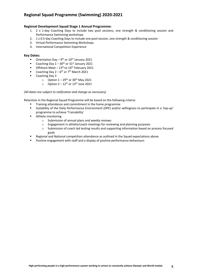### **Regional Development Squad Stage 1 Annual Programme:**

- 1. 2 x 1-day Coaching Days to include two pool sessions, one strength & conditioning session and Performance Swimming workshops
- 2. 1 x 0.5-day Coaching Days to include one pool session, one strength & conditioning session
- 3. Virtual Performance Swimming Workshops
- 4. International Competition Experience

### **Key Dates:**

- **•** Orientation Day 9<sup>th</sup> or 10<sup>th</sup> January 2021<br>• Coaching Day 1 30<sup>th</sup> or 31<sup>st</sup> January 2021
- Coaching Day  $1 30$ <sup>th</sup> or  $31$ <sup>st</sup> January 2021
- Offshore Meet  $13<sup>th</sup>$  to  $14<sup>th</sup>$  February 2021
- Coaching Day  $2-6$ <sup>th</sup> or 7<sup>th</sup> March 2021
- Coaching Day 3
	- $\circ$  Option  $1 29$ <sup>th</sup> or 30<sup>th</sup> May 2021
	- $\circ$  Option 2 12<sup>th</sup> or 13<sup>th</sup> June 2021

### *(All dates are subject to ratification and change as necessary)*

Retention in the Regional Squad Programme will be based on the following criteria:

- § Training attendance and commitment in the home programme
- § Suitability of the Daily Performance Environment (DPE) and/or willingness to participate in a 'top-up' programme to achieve 'Trainability'
- Athlete monitoring
	- o Submission of annual plans and weekly reviews
	- o Engagement in athlete/coach meetings for reviewing and planning purposes
	- o Submission of coach led testing results and supporting information based on process focused goals
- § Regional and National competition attendance as outlined in the Squad expectations above
- § Positive engagement with staff and a display of positive performance behaviours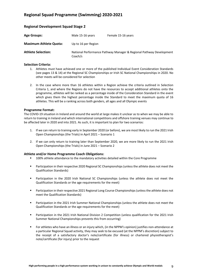### **Regional Development Squad Stage 2**

| <b>Age Groups:</b>            | Male 15-16 years    | Female 15-16 years                                                  |
|-------------------------------|---------------------|---------------------------------------------------------------------|
| <b>Maximum Athlete Quota:</b> | Up to 16 per Region |                                                                     |
| <b>Athlete Selection:</b>     | Coach/s             | National Performance Pathway Manager & Regional Pathway Development |

### **Selection Criteria:**

- 1. Athletes must have achieved one or more of the published Individual Event Consideration Standards (see pages 13 & 14) at the Regional SC Championships or Irish SC National Championships in 2020. No other meets will be considered for selection
- 2. In the case where more than 16 athletes within a Region achieve the criteria outlined in Selection Criteria 1, and where the Regions do not have the resources to accept additional athletes onto the programme, athletes will be ranked as a percentage inside of the Consideration Standard in the event which gives them the highest percentage inside the Standard to meet the maximum quota of 16 athletes. This will be a ranking across both genders, all ages and all Olympic events

### **Programme Format:**

The COVID-19 situation in Ireland and around the world at large makes it unclear as to when we may be able to return to training in Ireland and which international competitions and offshore training venues may continue to be affected later in 2020 and into 2021. As such, it is important to plan for two scenarios:

- 1. If we can return to training early in September 2020 (or before), we are most likely to run the 2021 Irish Open Championships (the Trials) in April 2021 – Scenario 1
- 2. If we can only return to training later than September 2020, we are more likely to run the 2021 Irish Open Championships (the Trials) in June 2021 – Scenario 2

- § 100% athlete attendance to the mandatory activities detailed within the Core Programme
- Participation in their respective 2020 Regional SC Championships (unless the athlete does not meet the Qualification Standards)
- Participation in the 2020 Irish National SC Championships (unless the athlete does not meet the Qualification Standards or the age requirements for the meet)
- Participation in their respective 2021 Regional Long Course Championships (unless the athlete does not meet the Qualification Standards)
- Participation in the 2021 Irish Summer National Championships (unless the athlete does not meet the Qualification Standards or the age requirements for the meet)
- Participation in the 2021 Irish National Division 2 Competition (unless qualification for the 2021 Irish Summer National Championships prevents this from occurring)
- § For athletes who have an illness or an injury which, (in the NPPM's opinion) justifies non-attendance at a particular Regional Squad activity, they may seek to be excused (at the NPPM's discretion) subject to the receipt of a satisfactory doctor's note/certificate (for illness) or chartered physiotherapist's note/certificate (for injury) prior to the request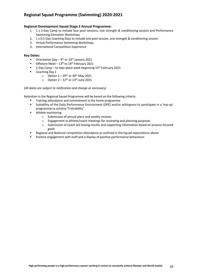### **Regional Development Squad Stage 2 Annual Programme:**

- 1. 1 x 2-Day Camp to include four pool sessions, one strength & conditioning session and Performance Swimming Education Workshops
- 2. 1 x 0.5-Day Coaching Days to include one pool session, one strength & conditioning session
- 3. Virtual Performance Swimming Workshops
- 4. International Competition Experience

### **Key Dates:**

- **•** Orientation Day  $9^{th}$  or  $10^{th}$  January 2021
- Offshore Meet  $13<sup>th</sup>$  to  $14<sup>th</sup>$  February 2021
- 2-Day Camp to take place week beginning 15<sup>th</sup> February 2021
- Coaching Day 1
	- $\circ$  Option  $1 29$ <sup>th</sup> or 30<sup>th</sup> May 2021
	- $\circ$  Option 2 12<sup>th</sup> or 13<sup>th</sup> June 2021

### *(All dates are subject to ratification and change as necessary)*

Retention in the Regional Squad Programme will be based on the following criteria:

- § Training attendance and commitment in the home programme
- § Suitability of the Daily Performance Environment (DPE) and/or willingness to participate in a 'top-up' programme to achieve 'Trainability'
- Athlete monitoring
	- o Submission of annual plans and weekly reviews
	- o Engagement in athlete/coach meetings for reviewing and planning purposes
	- o Submission of coach led testing results and supporting information based on process focused goals
- § Regional and National competition attendance as outlined in the Squad expectations above
- Positive engagement with staff and a display of positive performance behaviours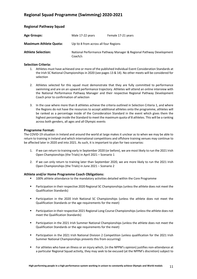### **Regional Pathway Squad**

| <b>Age Groups:</b>            | Male 17-22 years                     | Female 17-21 years                                                  |
|-------------------------------|--------------------------------------|---------------------------------------------------------------------|
| <b>Maximum Athlete Quota:</b> | Up to 8 from across all four Regions |                                                                     |
| <b>Athlete Selection:</b>     | Coach/s                              | National Performance Pathway Manager & Regional Pathway Development |

### **Selection Criteria:**

- 1. Athletes must have achieved one or more of the published Individual Event Consideration Standards at the Irish SC National Championships in 2020 (see pages 13 & 14). No other meets will be considered for selection
- 2. Athletes selected for this squad must demonstrate that they are fully committed to performance swimming and are on an upward performance trajectory. Athletes will attend an online interview with the National Performance Pathway Manager and their respective Regional Pathway Development Coach prior to confirmation of selection
- 3. In the case where more than 8 athletes achieve the criteria outlined in Selection Criteria 1, and where the Regions do not have the resources to accept additional athletes onto the programme, athletes will be ranked as a percentage inside of the Consideration Standard in the event which gives them the highest percentage inside the Standard to meet the maximum quota of 8 athletes. This will be a ranking across both genders, all ages and all Olympic events

### **Programme Format:**

The COVID-19 situation in Ireland and around the world at large makes it unclear as to when we may be able to return to training in Ireland and which international competitions and offshore training venues may continue to be affected later in 2020 and into 2021. As such, it is important to plan for two scenarios:

- 1. If we can return to training early in September 2020 (or before), we are most likely to run the 2021 Irish Open Championships (the Trials) in April 2021 – Scenario 1
- 2. If we can only return to training later than September 2020, we are more likely to run the 2021 Irish Open Championships (the Trials) in June 2021 – Scenario 2

- § 100% athlete attendance to the mandatory activities detailed within the Core Programme
- Participation in their respective 2020 Regional SC Championships (unless the athlete does not meet the Qualification Standards)
- Participation in the 2020 Irish National SC Championships (unless the athlete does not meet the Qualification Standards or the age requirements for the meet)
- Participation in their respective 2021 Regional Long Course Championships (unless the athlete does not meet the Qualification Standards)
- Participation in the 2021 Irish Summer National Championships (unless the athlete does not meet the Qualification Standards or the age requirements for the meet)
- Participation in the 2021 Irish National Division 2 Competition (unless qualification for the 2021 Irish Summer National Championships prevents this from occurring)
- § For athletes who have an illness or an injury which, (in the NPPM's opinion) justifies non-attendance at a particular Regional Squad activity, they may seek to be excused (at the NPPM's discretion) subject to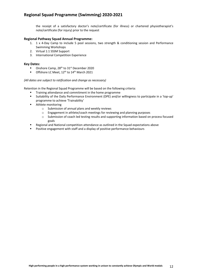the receipt of a satisfactory doctor's note/certificate (for illness) or chartered physiotherapist's note/certificate (for injury) prior to the request

### **Regional Pathway Squad Annual Programme:**

- 1. 1 x 4-Day Camp to include 5 pool sessions, two strength & conditioning session and Performance Swimming Workshops
- 2. Virtual 1:1 SSSM Support
- 3. International Competition Experience

### **Key Dates:**

- **•** Onshore Camp, 28<sup>th</sup> to 31<sup>st</sup> December 2020<br> **•** Offshore LC Meet, 12<sup>th</sup> to 14<sup>th</sup> March 2021
- Offshore LC Meet, 12<sup>th</sup> to 14<sup>th</sup> March 2021

### *(All dates are subject to ratification and change as necessary)*

Retention in the Regional Squad Programme will be based on the following criteria:

- § Training attendance and commitment in the home programme
- § Suitability of the Daily Performance Environment (DPE) and/or willingness to participate in a 'top-up' programme to achieve 'Trainability'
- Athlete monitoring
	- o Submission of annual plans and weekly reviews
	- o Engagement in athlete/coach meetings for reviewing and planning purposes
	- o Submission of coach led testing results and supporting information based on process focused goals
- § Regional and National competition attendance as outlined in the Squad expectations above
- Positive engagement with staff and a display of positive performance behaviours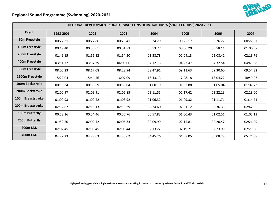



| REGIONAL DEVELOPMENT SQUAD - MALE CONSIDERATION TIMES (SHORT COURSE) 2020-2021 |           |          |          |          |          |          |          |
|--------------------------------------------------------------------------------|-----------|----------|----------|----------|----------|----------|----------|
| Event                                                                          | 1998-2001 | 2002     | 2003     | 2004     | 2005     | 2006     | 2007     |
| 50m Freestyle                                                                  | 00:22.31  | 00:22.86 | 00:23.41 | 00:24.29 | 00:25.17 | 00:26.27 | 00:27.37 |
| 100m Freestyle                                                                 | 00:49.40  | 00:50.61 | 00:51.83 | 00:53.77 | 00:56.20 | 00:58.14 | 01:00.57 |
| 200m Freestyle                                                                 | 01:49.15  | 01:51.82 | 01:54.50 | 01:58.78 | 02:04.13 | 02:08.41 | 02:13.76 |
| 400m Freestyle                                                                 | 03:51.72  | 03:57.39 | 04:03.06 | 04:12.13 | 04:23.47 | 04:32.54 | 04:43.88 |
| 800m Freestyle                                                                 | 08:05.23  | 08:17.08 | 08:28.94 | 08:47.91 | 09:11.63 | 09:30.60 | 09:54.32 |
| 1500m Freestyle                                                                | 15:22.04  | 15:44.56 | 16:07.09 | 16:43.13 | 17:28.18 | 18:04.22 | 18:49.27 |
| <b>100m Backstroke</b>                                                         | 00:55.34  | 00:56.69 | 00:58.04 | 01:00.19 | 01:02.88 | 01:05.04 | 01:07.73 |
| 200m Backstroke                                                                | 02:00.97  | 02:03.91 | 02:06.85 | 02:11.55 | 02:17.42 | 02:22.13 | 02:28.00 |
| 100m Breaststroke                                                              | 01:00.93  | 01:02.42 | 01:03.92 | 01:06.32 | 01:09.32 | 01:11.71 | 01:14.71 |
| 200m Breaststroke                                                              | 02:12.87  | 02:16.13 | 02:19.39 | 02:24.60 | 02:31.12 | 02:36.33 | 02:42.85 |
| 100m Butterfly                                                                 | 00:53.16  | 00:54.46 | 00:55.76 | 00:57.83 | 01:00.43 | 01:02.51 | 01:05.11 |
| 200m Butterfly                                                                 | 01:59.50  | 02:02.42 | 02:05.33 | 02:09.99 | 02:15.81 | 02:20.47 | 02:26.29 |
| 200m I.M.                                                                      | 02:02.45  | 02:05.45 | 02:08.44 | 02:13.22 | 02:19.21 | 02:23.99 | 02:29.98 |
| 400m I.M.                                                                      | 04:22.23  | 04:28.63 | 04:35.02 | 04:45.26 | 04:58.05 | 05:08.28 | 05:21.08 |